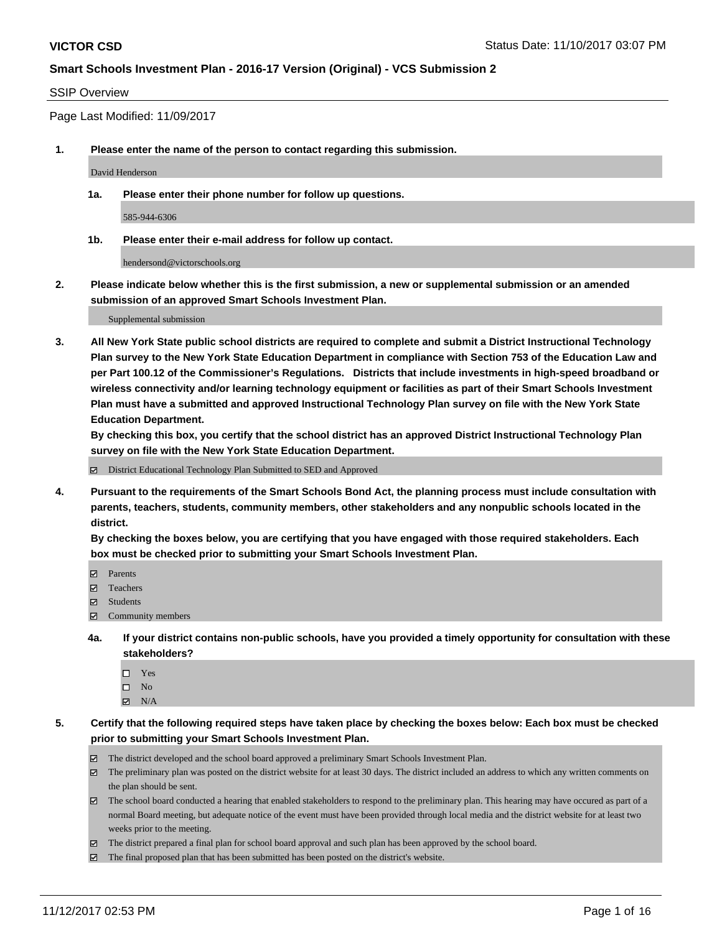#### SSIP Overview

Page Last Modified: 11/09/2017

**1. Please enter the name of the person to contact regarding this submission.**

David Henderson

**1a. Please enter their phone number for follow up questions.**

585-944-6306

**1b. Please enter their e-mail address for follow up contact.**

hendersond@victorschools.org

**2. Please indicate below whether this is the first submission, a new or supplemental submission or an amended submission of an approved Smart Schools Investment Plan.**

Supplemental submission

**3. All New York State public school districts are required to complete and submit a District Instructional Technology Plan survey to the New York State Education Department in compliance with Section 753 of the Education Law and per Part 100.12 of the Commissioner's Regulations. Districts that include investments in high-speed broadband or wireless connectivity and/or learning technology equipment or facilities as part of their Smart Schools Investment Plan must have a submitted and approved Instructional Technology Plan survey on file with the New York State Education Department.** 

**By checking this box, you certify that the school district has an approved District Instructional Technology Plan survey on file with the New York State Education Department.**

District Educational Technology Plan Submitted to SED and Approved

**4. Pursuant to the requirements of the Smart Schools Bond Act, the planning process must include consultation with parents, teachers, students, community members, other stakeholders and any nonpublic schools located in the district.** 

**By checking the boxes below, you are certifying that you have engaged with those required stakeholders. Each box must be checked prior to submitting your Smart Schools Investment Plan.**

- **マ** Parents
- Teachers
- **☑** Students
- Community members
- **4a. If your district contains non-public schools, have you provided a timely opportunity for consultation with these stakeholders?**
	- □ Yes
	- $\square$  No
	- $\boxtimes$  N/A
- **5. Certify that the following required steps have taken place by checking the boxes below: Each box must be checked prior to submitting your Smart Schools Investment Plan.**
	- The district developed and the school board approved a preliminary Smart Schools Investment Plan.
	- The preliminary plan was posted on the district website for at least 30 days. The district included an address to which any written comments on the plan should be sent.
	- The school board conducted a hearing that enabled stakeholders to respond to the preliminary plan. This hearing may have occured as part of a normal Board meeting, but adequate notice of the event must have been provided through local media and the district website for at least two weeks prior to the meeting.
	- The district prepared a final plan for school board approval and such plan has been approved by the school board.
	- $\boxtimes$  The final proposed plan that has been submitted has been posted on the district's website.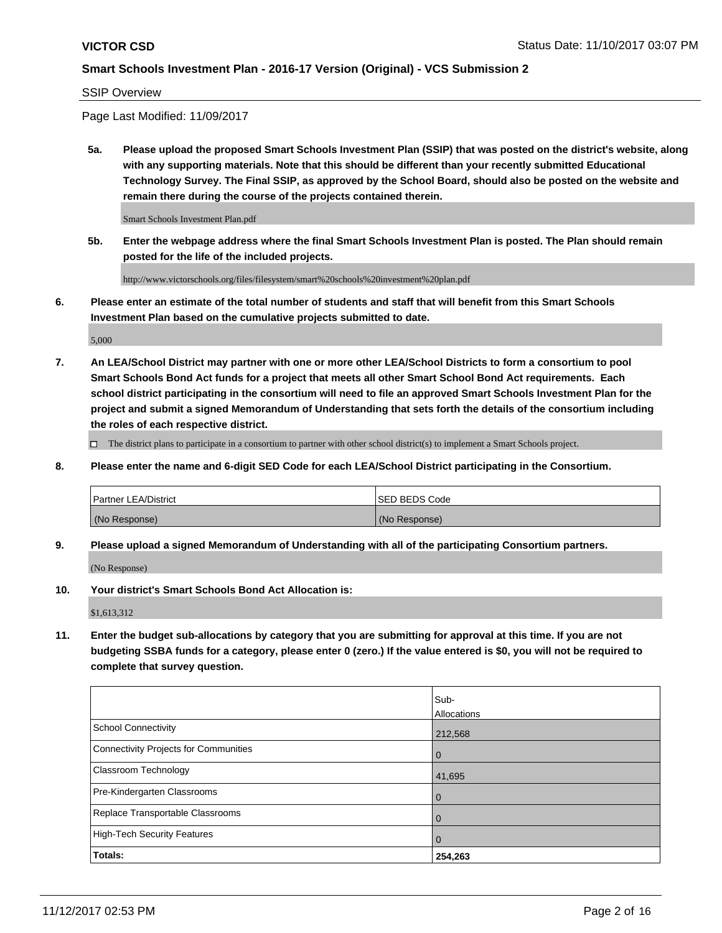SSIP Overview

Page Last Modified: 11/09/2017

**5a. Please upload the proposed Smart Schools Investment Plan (SSIP) that was posted on the district's website, along with any supporting materials. Note that this should be different than your recently submitted Educational Technology Survey. The Final SSIP, as approved by the School Board, should also be posted on the website and remain there during the course of the projects contained therein.**

Smart Schools Investment Plan.pdf

**5b. Enter the webpage address where the final Smart Schools Investment Plan is posted. The Plan should remain posted for the life of the included projects.**

http://www.victorschools.org/files/filesystem/smart%20schools%20investment%20plan.pdf

**6. Please enter an estimate of the total number of students and staff that will benefit from this Smart Schools Investment Plan based on the cumulative projects submitted to date.**

5,000

**7. An LEA/School District may partner with one or more other LEA/School Districts to form a consortium to pool Smart Schools Bond Act funds for a project that meets all other Smart School Bond Act requirements. Each school district participating in the consortium will need to file an approved Smart Schools Investment Plan for the project and submit a signed Memorandum of Understanding that sets forth the details of the consortium including the roles of each respective district.**

 $\Box$  The district plans to participate in a consortium to partner with other school district(s) to implement a Smart Schools project.

**8. Please enter the name and 6-digit SED Code for each LEA/School District participating in the Consortium.**

| <b>Partner LEA/District</b> | <b>ISED BEDS Code</b> |
|-----------------------------|-----------------------|
| (No Response)               | (No Response)         |

**9. Please upload a signed Memorandum of Understanding with all of the participating Consortium partners.**

(No Response)

**10. Your district's Smart Schools Bond Act Allocation is:**

\$1,613,312

**11. Enter the budget sub-allocations by category that you are submitting for approval at this time. If you are not budgeting SSBA funds for a category, please enter 0 (zero.) If the value entered is \$0, you will not be required to complete that survey question.**

|                                              | Sub-        |
|----------------------------------------------|-------------|
|                                              | Allocations |
| <b>School Connectivity</b>                   | 212,568     |
| <b>Connectivity Projects for Communities</b> | 0           |
| Classroom Technology                         | 41,695      |
| Pre-Kindergarten Classrooms                  | 0           |
| Replace Transportable Classrooms             | 0           |
| <b>High-Tech Security Features</b>           | 0           |
| Totals:                                      | 254,263     |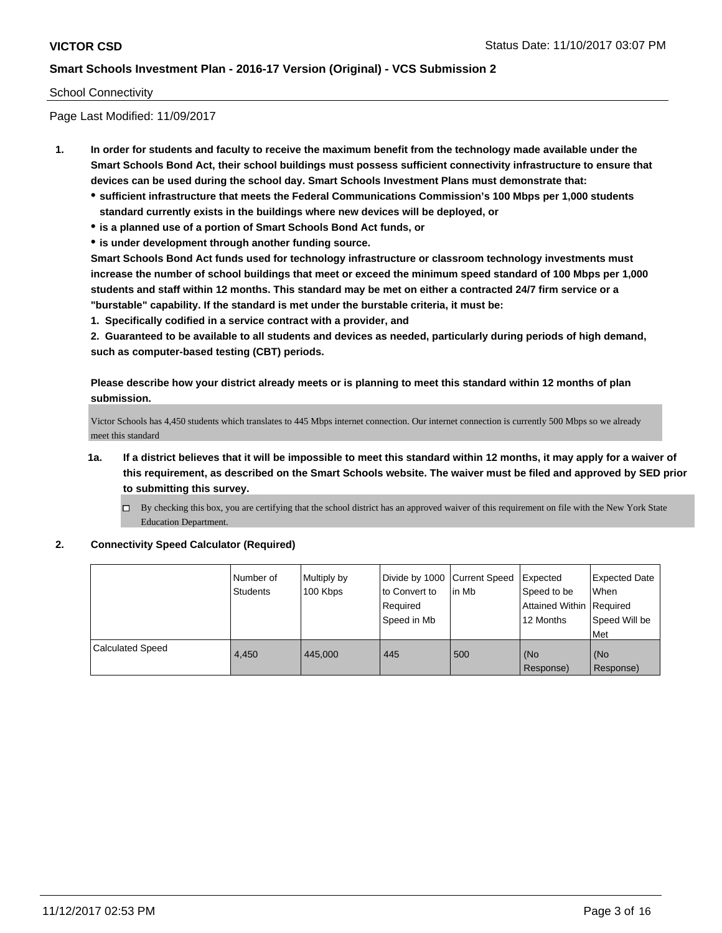## School Connectivity

Page Last Modified: 11/09/2017

- **1. In order for students and faculty to receive the maximum benefit from the technology made available under the Smart Schools Bond Act, their school buildings must possess sufficient connectivity infrastructure to ensure that devices can be used during the school day. Smart Schools Investment Plans must demonstrate that:**
	- **sufficient infrastructure that meets the Federal Communications Commission's 100 Mbps per 1,000 students standard currently exists in the buildings where new devices will be deployed, or**
	- **is a planned use of a portion of Smart Schools Bond Act funds, or**
	- **is under development through another funding source.**

**Smart Schools Bond Act funds used for technology infrastructure or classroom technology investments must increase the number of school buildings that meet or exceed the minimum speed standard of 100 Mbps per 1,000 students and staff within 12 months. This standard may be met on either a contracted 24/7 firm service or a "burstable" capability. If the standard is met under the burstable criteria, it must be:**

**1. Specifically codified in a service contract with a provider, and**

**2. Guaranteed to be available to all students and devices as needed, particularly during periods of high demand, such as computer-based testing (CBT) periods.**

**Please describe how your district already meets or is planning to meet this standard within 12 months of plan submission.**

Victor Schools has 4,450 students which translates to 445 Mbps internet connection. Our internet connection is currently 500 Mbps so we already meet this standard

- **1a. If a district believes that it will be impossible to meet this standard within 12 months, it may apply for a waiver of this requirement, as described on the Smart Schools website. The waiver must be filed and approved by SED prior to submitting this survey.**
	- By checking this box, you are certifying that the school district has an approved waiver of this requirement on file with the New York State Education Department.

#### **2. Connectivity Speed Calculator (Required)**

|                  | Number of<br>Students | Multiply by<br>100 Kbps | Divide by 1000 Current Speed<br>to Convert to<br>Required<br>Speed in Mb | l in Mb | Expected<br>Speed to be<br>Attained Within   Required<br>12 Months | Expected Date<br>When<br>Speed Will be<br>Met |
|------------------|-----------------------|-------------------------|--------------------------------------------------------------------------|---------|--------------------------------------------------------------------|-----------------------------------------------|
| Calculated Speed | 4.450                 | 445,000                 | 445                                                                      | 500     | (No<br>Response)                                                   | (No<br>Response)                              |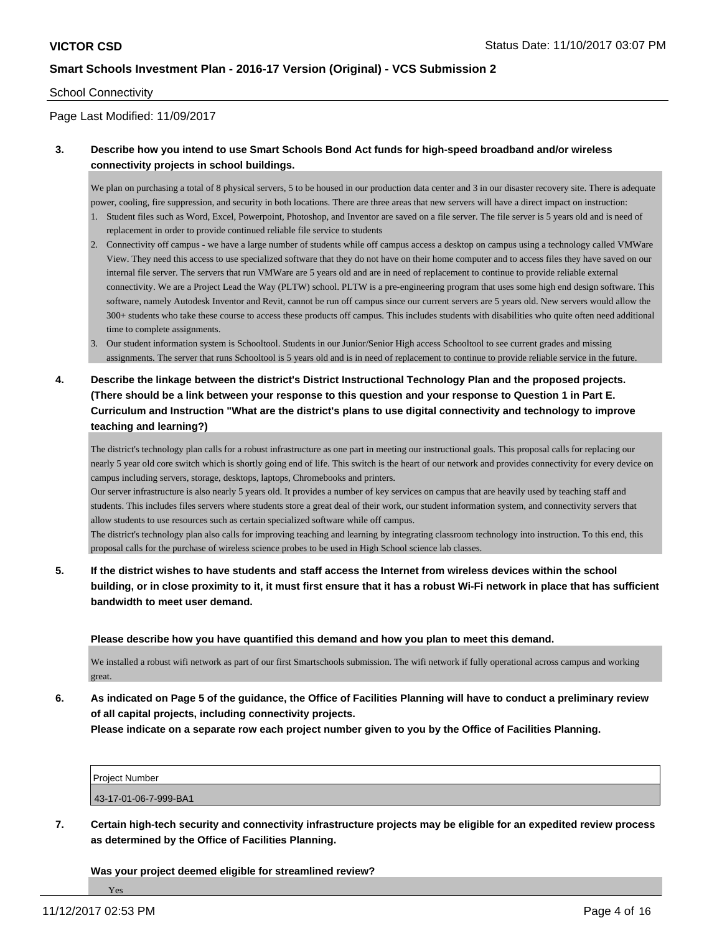### School Connectivity

## Page Last Modified: 11/09/2017

## **3. Describe how you intend to use Smart Schools Bond Act funds for high-speed broadband and/or wireless connectivity projects in school buildings.**

We plan on purchasing a total of 8 physical servers, 5 to be housed in our production data center and 3 in our disaster recovery site. There is adequate power, cooling, fire suppression, and security in both locations. There are three areas that new servers will have a direct impact on instruction:

- 1. Student files such as Word, Excel, Powerpoint, Photoshop, and Inventor are saved on a file server. The file server is 5 years old and is need of replacement in order to provide continued reliable file service to students
- 2. Connectivity off campus we have a large number of students while off campus access a desktop on campus using a technology called VMWare View. They need this access to use specialized software that they do not have on their home computer and to access files they have saved on our internal file server. The servers that run VMWare are 5 years old and are in need of replacement to continue to provide reliable external connectivity. We are a Project Lead the Way (PLTW) school. PLTW is a pre-engineering program that uses some high end design software. This software, namely Autodesk Inventor and Revit, cannot be run off campus since our current servers are 5 years old. New servers would allow the 300+ students who take these course to access these products off campus. This includes students with disabilities who quite often need additional time to complete assignments.
- 3. Our student information system is Schooltool. Students in our Junior/Senior High access Schooltool to see current grades and missing assignments. The server that runs Schooltool is 5 years old and is in need of replacement to continue to provide reliable service in the future.
- **4. Describe the linkage between the district's District Instructional Technology Plan and the proposed projects. (There should be a link between your response to this question and your response to Question 1 in Part E. Curriculum and Instruction "What are the district's plans to use digital connectivity and technology to improve teaching and learning?)**

The district's technology plan calls for a robust infrastructure as one part in meeting our instructional goals. This proposal calls for replacing our nearly 5 year old core switch which is shortly going end of life. This switch is the heart of our network and provides connectivity for every device on campus including servers, storage, desktops, laptops, Chromebooks and printers.

Our server infrastructure is also nearly 5 years old. It provides a number of key services on campus that are heavily used by teaching staff and students. This includes files servers where students store a great deal of their work, our student information system, and connectivity servers that allow students to use resources such as certain specialized software while off campus.

The district's technology plan also calls for improving teaching and learning by integrating classroom technology into instruction. To this end, this proposal calls for the purchase of wireless science probes to be used in High School science lab classes.

**5. If the district wishes to have students and staff access the Internet from wireless devices within the school building, or in close proximity to it, it must first ensure that it has a robust Wi-Fi network in place that has sufficient bandwidth to meet user demand.**

#### **Please describe how you have quantified this demand and how you plan to meet this demand.**

We installed a robust wifi network as part of our first Smartschools submission. The wifi network if fully operational across campus and working great.

**6. As indicated on Page 5 of the guidance, the Office of Facilities Planning will have to conduct a preliminary review of all capital projects, including connectivity projects.**

**Please indicate on a separate row each project number given to you by the Office of Facilities Planning.**

| <b>Project Number</b> |  |
|-----------------------|--|
| 43-17-01-06-7-999-BA1 |  |

**7. Certain high-tech security and connectivity infrastructure projects may be eligible for an expedited review process as determined by the Office of Facilities Planning.**

**Was your project deemed eligible for streamlined review?**

Yes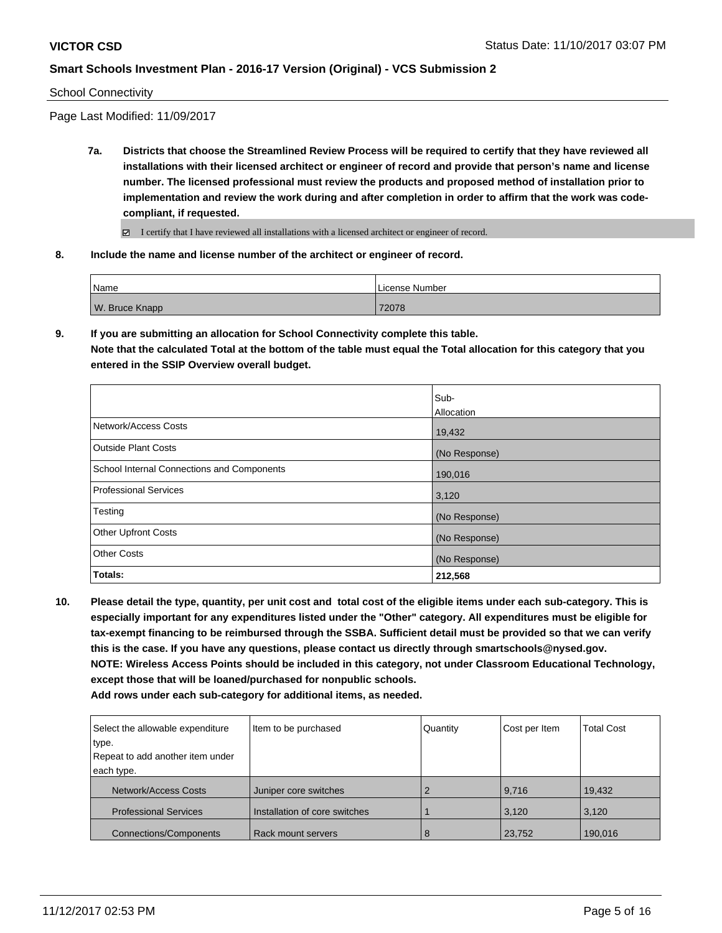#### School Connectivity

Page Last Modified: 11/09/2017

- **7a. Districts that choose the Streamlined Review Process will be required to certify that they have reviewed all installations with their licensed architect or engineer of record and provide that person's name and license number. The licensed professional must review the products and proposed method of installation prior to implementation and review the work during and after completion in order to affirm that the work was codecompliant, if requested.**
	- I certify that I have reviewed all installations with a licensed architect or engineer of record.
- **8. Include the name and license number of the architect or engineer of record.**

| Name           | License Number |
|----------------|----------------|
| W. Bruce Knapp | 72078          |

**9. If you are submitting an allocation for School Connectivity complete this table. Note that the calculated Total at the bottom of the table must equal the Total allocation for this category that you entered in the SSIP Overview overall budget.** 

|                                            | Sub-<br>Allocation |
|--------------------------------------------|--------------------|
| Network/Access Costs                       | 19,432             |
| <b>Outside Plant Costs</b>                 | (No Response)      |
| School Internal Connections and Components | 190,016            |
| <b>Professional Services</b>               | 3,120              |
| Testing                                    | (No Response)      |
| <b>Other Upfront Costs</b>                 | (No Response)      |
| <b>Other Costs</b>                         | (No Response)      |
| Totals:                                    | 212,568            |

**10. Please detail the type, quantity, per unit cost and total cost of the eligible items under each sub-category. This is especially important for any expenditures listed under the "Other" category. All expenditures must be eligible for tax-exempt financing to be reimbursed through the SSBA. Sufficient detail must be provided so that we can verify this is the case. If you have any questions, please contact us directly through smartschools@nysed.gov. NOTE: Wireless Access Points should be included in this category, not under Classroom Educational Technology, except those that will be loaned/purchased for nonpublic schools.**

| Select the allowable expenditure | Item to be purchased          | Quantity | Cost per Item | <b>Total Cost</b> |
|----------------------------------|-------------------------------|----------|---------------|-------------------|
| type.                            |                               |          |               |                   |
| Repeat to add another item under |                               |          |               |                   |
| each type.                       |                               |          |               |                   |
| Network/Access Costs             | Juniper core switches         |          | 9,716         | 19,432            |
| <b>Professional Services</b>     | Installation of core switches |          | 3,120         | 3,120             |
| <b>Connections/Components</b>    | Rack mount servers            | 8        | 23,752        | 190,016           |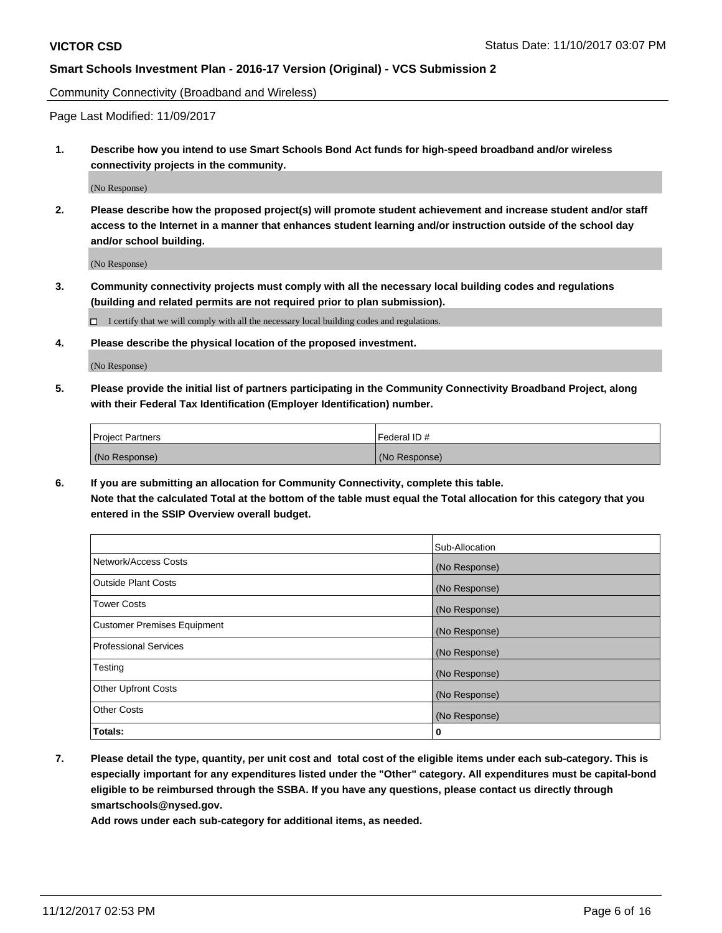Community Connectivity (Broadband and Wireless)

Page Last Modified: 11/09/2017

**1. Describe how you intend to use Smart Schools Bond Act funds for high-speed broadband and/or wireless connectivity projects in the community.**

(No Response)

**2. Please describe how the proposed project(s) will promote student achievement and increase student and/or staff access to the Internet in a manner that enhances student learning and/or instruction outside of the school day and/or school building.**

(No Response)

**3. Community connectivity projects must comply with all the necessary local building codes and regulations (building and related permits are not required prior to plan submission).**

 $\Box$  I certify that we will comply with all the necessary local building codes and regulations.

**4. Please describe the physical location of the proposed investment.**

(No Response)

**5. Please provide the initial list of partners participating in the Community Connectivity Broadband Project, along with their Federal Tax Identification (Employer Identification) number.**

| <b>Project Partners</b> | l Federal ID # |
|-------------------------|----------------|
| (No Response)           | (No Response)  |

**6. If you are submitting an allocation for Community Connectivity, complete this table. Note that the calculated Total at the bottom of the table must equal the Total allocation for this category that you entered in the SSIP Overview overall budget.**

|                                    | Sub-Allocation |
|------------------------------------|----------------|
| Network/Access Costs               | (No Response)  |
| <b>Outside Plant Costs</b>         | (No Response)  |
| <b>Tower Costs</b>                 | (No Response)  |
| <b>Customer Premises Equipment</b> | (No Response)  |
| <b>Professional Services</b>       | (No Response)  |
| Testing                            | (No Response)  |
| <b>Other Upfront Costs</b>         | (No Response)  |
| <b>Other Costs</b>                 | (No Response)  |
| Totals:                            | 0              |

**7. Please detail the type, quantity, per unit cost and total cost of the eligible items under each sub-category. This is especially important for any expenditures listed under the "Other" category. All expenditures must be capital-bond eligible to be reimbursed through the SSBA. If you have any questions, please contact us directly through smartschools@nysed.gov.**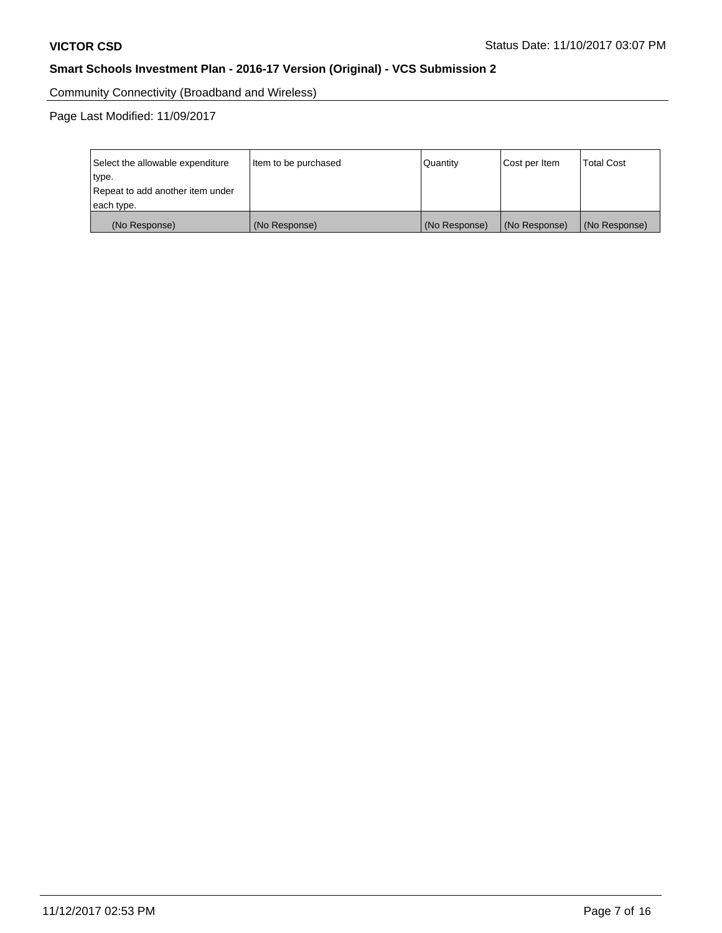Community Connectivity (Broadband and Wireless)

Page Last Modified: 11/09/2017

| Select the allowable expenditure<br>type.<br>Repeat to add another item under | Item to be purchased | Quantity      | Cost per Item | <b>Total Cost</b> |
|-------------------------------------------------------------------------------|----------------------|---------------|---------------|-------------------|
| each type.                                                                    |                      |               |               |                   |
| (No Response)                                                                 | (No Response)        | (No Response) | (No Response) | (No Response)     |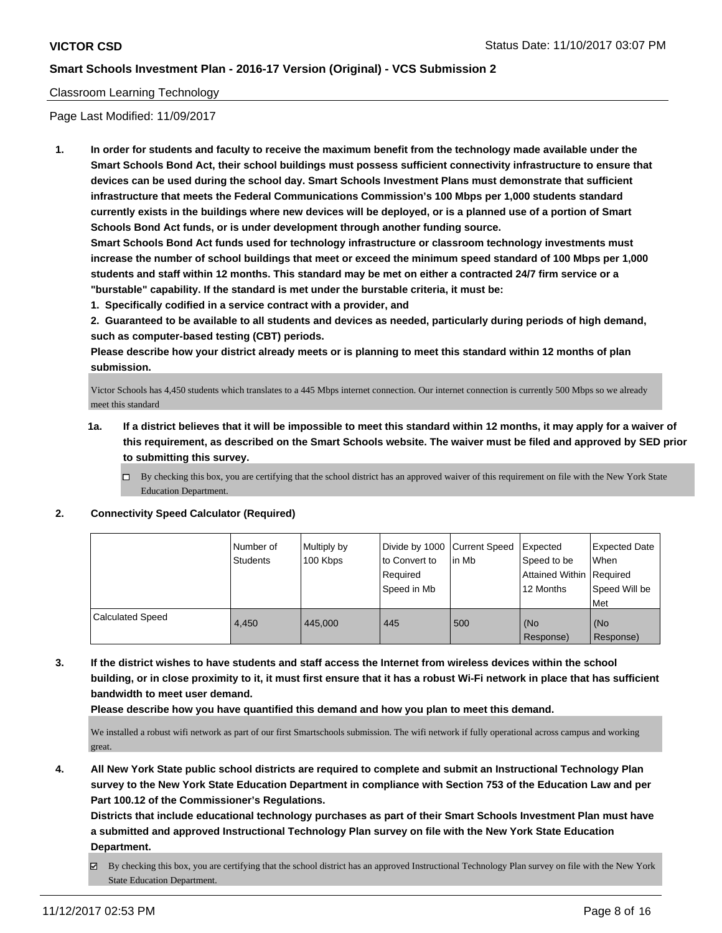## Classroom Learning Technology

Page Last Modified: 11/09/2017

**1. In order for students and faculty to receive the maximum benefit from the technology made available under the Smart Schools Bond Act, their school buildings must possess sufficient connectivity infrastructure to ensure that devices can be used during the school day. Smart Schools Investment Plans must demonstrate that sufficient infrastructure that meets the Federal Communications Commission's 100 Mbps per 1,000 students standard currently exists in the buildings where new devices will be deployed, or is a planned use of a portion of Smart Schools Bond Act funds, or is under development through another funding source.**

**Smart Schools Bond Act funds used for technology infrastructure or classroom technology investments must increase the number of school buildings that meet or exceed the minimum speed standard of 100 Mbps per 1,000 students and staff within 12 months. This standard may be met on either a contracted 24/7 firm service or a "burstable" capability. If the standard is met under the burstable criteria, it must be:**

**1. Specifically codified in a service contract with a provider, and**

**2. Guaranteed to be available to all students and devices as needed, particularly during periods of high demand, such as computer-based testing (CBT) periods.**

**Please describe how your district already meets or is planning to meet this standard within 12 months of plan submission.**

Victor Schools has 4,450 students which translates to a 445 Mbps internet connection. Our internet connection is currently 500 Mbps so we already meet this standard

- **1a. If a district believes that it will be impossible to meet this standard within 12 months, it may apply for a waiver of this requirement, as described on the Smart Schools website. The waiver must be filed and approved by SED prior to submitting this survey.**
	- $\Box$  By checking this box, you are certifying that the school district has an approved waiver of this requirement on file with the New York State Education Department.

#### **2. Connectivity Speed Calculator (Required)**

|                         | INumber of<br>Students | Multiply by<br>100 Kbps | Divide by 1000 Current Speed<br>to Convert to<br>Required<br>Speed in Mb | in Mb | Expected<br>Speed to be<br>Attained Within Required<br>12 Months | <b>Expected Date</b><br>When<br>Speed Will be<br>Met |
|-------------------------|------------------------|-------------------------|--------------------------------------------------------------------------|-------|------------------------------------------------------------------|------------------------------------------------------|
| <b>Calculated Speed</b> | 4.450                  | 445.000                 | 445                                                                      | 500   | (No<br>Response)                                                 | (No<br>Response)                                     |

**3. If the district wishes to have students and staff access the Internet from wireless devices within the school building, or in close proximity to it, it must first ensure that it has a robust Wi-Fi network in place that has sufficient bandwidth to meet user demand.**

**Please describe how you have quantified this demand and how you plan to meet this demand.**

We installed a robust wifi network as part of our first Smartschools submission. The wifi network if fully operational across campus and working great.

**4. All New York State public school districts are required to complete and submit an Instructional Technology Plan survey to the New York State Education Department in compliance with Section 753 of the Education Law and per Part 100.12 of the Commissioner's Regulations.**

**Districts that include educational technology purchases as part of their Smart Schools Investment Plan must have a submitted and approved Instructional Technology Plan survey on file with the New York State Education Department.**

By checking this box, you are certifying that the school district has an approved Instructional Technology Plan survey on file with the New York State Education Department.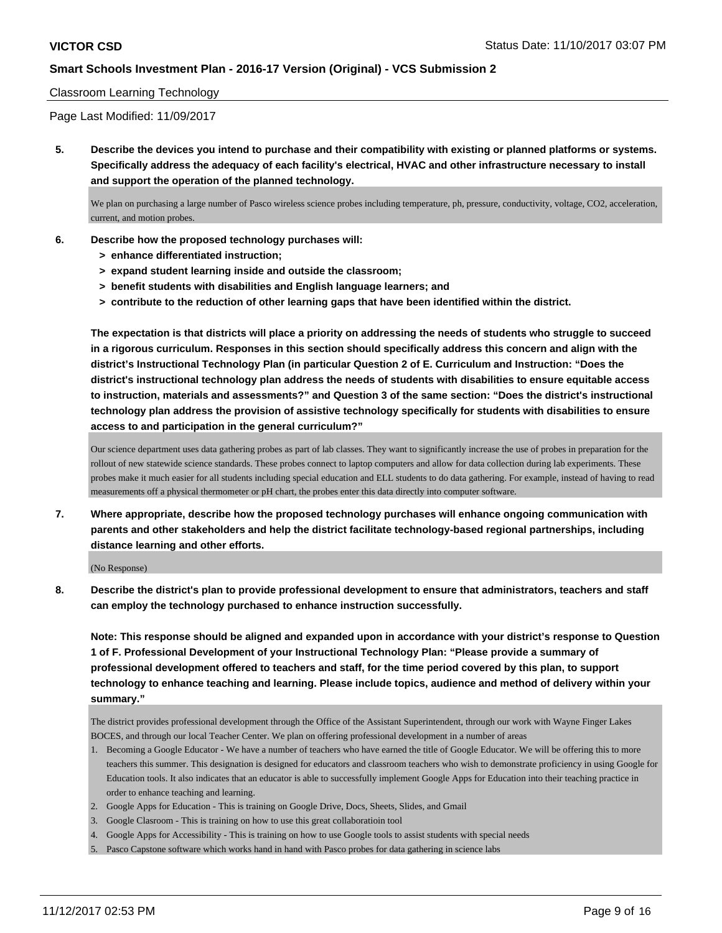### Classroom Learning Technology

Page Last Modified: 11/09/2017

**5. Describe the devices you intend to purchase and their compatibility with existing or planned platforms or systems. Specifically address the adequacy of each facility's electrical, HVAC and other infrastructure necessary to install and support the operation of the planned technology.**

We plan on purchasing a large number of Pasco wireless science probes including temperature, ph, pressure, conductivity, voltage, CO2, acceleration, current, and motion probes.

- **6. Describe how the proposed technology purchases will:**
	- **> enhance differentiated instruction;**
	- **> expand student learning inside and outside the classroom;**
	- **> benefit students with disabilities and English language learners; and**
	- **> contribute to the reduction of other learning gaps that have been identified within the district.**

**The expectation is that districts will place a priority on addressing the needs of students who struggle to succeed in a rigorous curriculum. Responses in this section should specifically address this concern and align with the district's Instructional Technology Plan (in particular Question 2 of E. Curriculum and Instruction: "Does the district's instructional technology plan address the needs of students with disabilities to ensure equitable access to instruction, materials and assessments?" and Question 3 of the same section: "Does the district's instructional technology plan address the provision of assistive technology specifically for students with disabilities to ensure access to and participation in the general curriculum?"**

Our science department uses data gathering probes as part of lab classes. They want to significantly increase the use of probes in preparation for the rollout of new statewide science standards. These probes connect to laptop computers and allow for data collection during lab experiments. These probes make it much easier for all students including special education and ELL students to do data gathering. For example, instead of having to read measurements off a physical thermometer or pH chart, the probes enter this data directly into computer software.

**7. Where appropriate, describe how the proposed technology purchases will enhance ongoing communication with parents and other stakeholders and help the district facilitate technology-based regional partnerships, including distance learning and other efforts.**

(No Response)

**8. Describe the district's plan to provide professional development to ensure that administrators, teachers and staff can employ the technology purchased to enhance instruction successfully.**

**Note: This response should be aligned and expanded upon in accordance with your district's response to Question 1 of F. Professional Development of your Instructional Technology Plan: "Please provide a summary of professional development offered to teachers and staff, for the time period covered by this plan, to support technology to enhance teaching and learning. Please include topics, audience and method of delivery within your summary."**

The district provides professional development through the Office of the Assistant Superintendent, through our work with Wayne Finger Lakes BOCES, and through our local Teacher Center. We plan on offering professional development in a number of areas

- 1. Becoming a Google Educator We have a number of teachers who have earned the title of Google Educator. We will be offering this to more teachers this summer. This designation is designed for educators and classroom teachers who wish to demonstrate proficiency in using Google for Education tools. It also indicates that an educator is able to successfully implement Google Apps for Education into their teaching practice in order to enhance teaching and learning.
- 2. Google Apps for Education This is training on Google Drive, Docs, Sheets, Slides, and Gmail
- 3. Google Clasroom This is training on how to use this great collaboratioin tool
- 4. Google Apps for Accessibility This is training on how to use Google tools to assist students with special needs
- 5. Pasco Capstone software which works hand in hand with Pasco probes for data gathering in science labs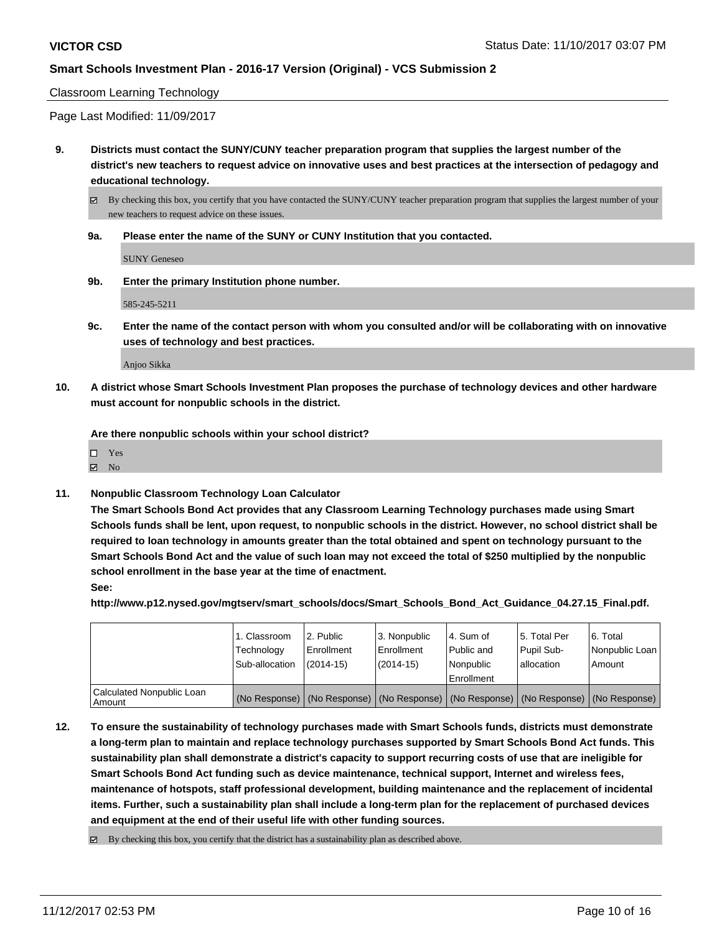#### Classroom Learning Technology

Page Last Modified: 11/09/2017

**9. Districts must contact the SUNY/CUNY teacher preparation program that supplies the largest number of the district's new teachers to request advice on innovative uses and best practices at the intersection of pedagogy and educational technology.**

By checking this box, you certify that you have contacted the SUNY/CUNY teacher preparation program that supplies the largest number of your new teachers to request advice on these issues.

**9a. Please enter the name of the SUNY or CUNY Institution that you contacted.**

SUNY Geneseo

**9b. Enter the primary Institution phone number.**

585-245-5211

**9c. Enter the name of the contact person with whom you consulted and/or will be collaborating with on innovative uses of technology and best practices.**

Anjoo Sikka

**10. A district whose Smart Schools Investment Plan proposes the purchase of technology devices and other hardware must account for nonpublic schools in the district.**

**Are there nonpublic schools within your school district?**

 $\boxtimes$  No

**11. Nonpublic Classroom Technology Loan Calculator**

**The Smart Schools Bond Act provides that any Classroom Learning Technology purchases made using Smart Schools funds shall be lent, upon request, to nonpublic schools in the district. However, no school district shall be required to loan technology in amounts greater than the total obtained and spent on technology pursuant to the Smart Schools Bond Act and the value of such loan may not exceed the total of \$250 multiplied by the nonpublic school enrollment in the base year at the time of enactment.**

**See:**

**http://www.p12.nysed.gov/mgtserv/smart\_schools/docs/Smart\_Schools\_Bond\_Act\_Guidance\_04.27.15\_Final.pdf.**

|                                     | 1. Classroom<br>Technology<br>Sub-allocation | l 2. Public<br>Enrollment<br>$(2014-15)$ | 3. Nonpublic<br>Enrollment<br>(2014-15) | l 4. Sum of<br>Public and<br>Nonpublic<br>Enrollment | 15. Total Per<br>Pupil Sub-<br>l allocation | l 6. Total<br>Nonpublic Loan<br>Amount                                                        |
|-------------------------------------|----------------------------------------------|------------------------------------------|-----------------------------------------|------------------------------------------------------|---------------------------------------------|-----------------------------------------------------------------------------------------------|
| Calculated Nonpublic Loan<br>Amount |                                              |                                          |                                         |                                                      |                                             | (No Response)   (No Response)   (No Response)   (No Response)   (No Response)   (No Response) |

- **12. To ensure the sustainability of technology purchases made with Smart Schools funds, districts must demonstrate a long-term plan to maintain and replace technology purchases supported by Smart Schools Bond Act funds. This sustainability plan shall demonstrate a district's capacity to support recurring costs of use that are ineligible for Smart Schools Bond Act funding such as device maintenance, technical support, Internet and wireless fees, maintenance of hotspots, staff professional development, building maintenance and the replacement of incidental items. Further, such a sustainability plan shall include a long-term plan for the replacement of purchased devices and equipment at the end of their useful life with other funding sources.**
	- $\boxtimes$  By checking this box, you certify that the district has a sustainability plan as described above.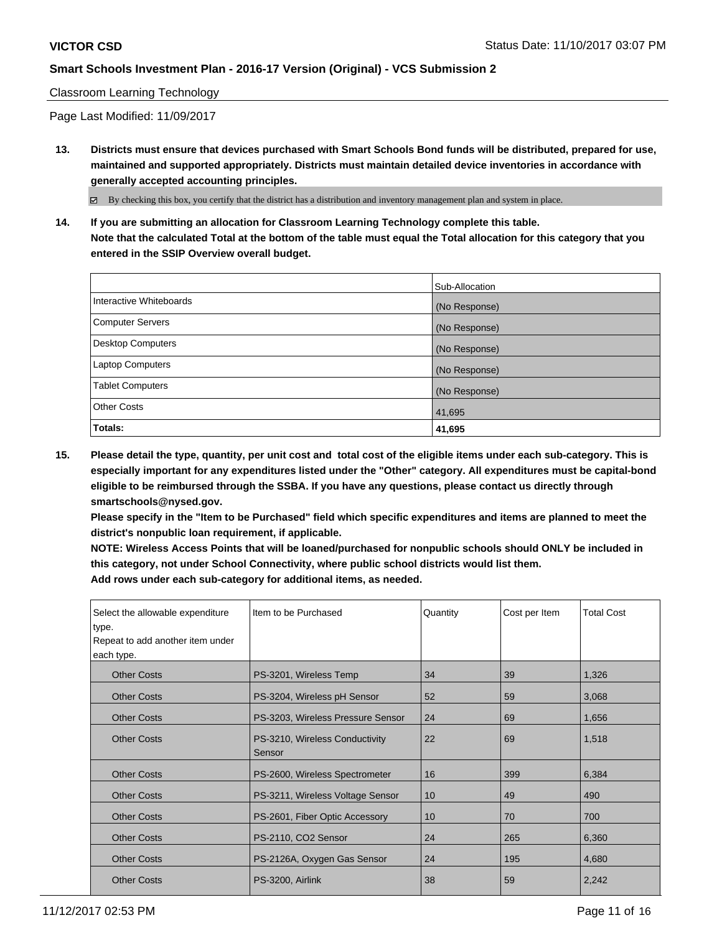## Classroom Learning Technology

Page Last Modified: 11/09/2017

**13. Districts must ensure that devices purchased with Smart Schools Bond funds will be distributed, prepared for use, maintained and supported appropriately. Districts must maintain detailed device inventories in accordance with generally accepted accounting principles.**

By checking this box, you certify that the district has a distribution and inventory management plan and system in place.

**14. If you are submitting an allocation for Classroom Learning Technology complete this table. Note that the calculated Total at the bottom of the table must equal the Total allocation for this category that you entered in the SSIP Overview overall budget.**

|                         | Sub-Allocation |
|-------------------------|----------------|
| Interactive Whiteboards | (No Response)  |
| Computer Servers        | (No Response)  |
| Desktop Computers       | (No Response)  |
| <b>Laptop Computers</b> | (No Response)  |
| <b>Tablet Computers</b> | (No Response)  |
| <b>Other Costs</b>      | 41,695         |
| Totals:                 | 41,695         |

**15. Please detail the type, quantity, per unit cost and total cost of the eligible items under each sub-category. This is especially important for any expenditures listed under the "Other" category. All expenditures must be capital-bond eligible to be reimbursed through the SSBA. If you have any questions, please contact us directly through smartschools@nysed.gov.**

**Please specify in the "Item to be Purchased" field which specific expenditures and items are planned to meet the district's nonpublic loan requirement, if applicable.**

**NOTE: Wireless Access Points that will be loaned/purchased for nonpublic schools should ONLY be included in this category, not under School Connectivity, where public school districts would list them. Add rows under each sub-category for additional items, as needed.**

| Select the allowable expenditure<br>type.<br>Repeat to add another item under<br>each type. | Iltem to be Purchased                    | Quantity | Cost per Item | <b>Total Cost</b> |
|---------------------------------------------------------------------------------------------|------------------------------------------|----------|---------------|-------------------|
| <b>Other Costs</b>                                                                          | PS-3201, Wireless Temp                   | 34       | 39            | 1,326             |
| <b>Other Costs</b>                                                                          | PS-3204, Wireless pH Sensor              | 52       | 59            | 3,068             |
| <b>Other Costs</b>                                                                          | PS-3203, Wireless Pressure Sensor        | 24       | 69            | 1,656             |
| <b>Other Costs</b>                                                                          | PS-3210, Wireless Conductivity<br>Sensor | 22       | 69            | 1,518             |
| <b>Other Costs</b>                                                                          | PS-2600, Wireless Spectrometer           | 16       | 399           | 6,384             |
| <b>Other Costs</b>                                                                          | PS-3211, Wireless Voltage Sensor         | 10       | 49            | 490               |
| <b>Other Costs</b>                                                                          | PS-2601, Fiber Optic Accessory           | 10       | 70            | 700               |
| <b>Other Costs</b>                                                                          | PS-2110, CO2 Sensor                      | 24       | 265           | 6,360             |
| <b>Other Costs</b>                                                                          | PS-2126A, Oxygen Gas Sensor              | 24       | 195           | 4,680             |
| <b>Other Costs</b>                                                                          | PS-3200, Airlink                         | 38       | 59            | 2,242             |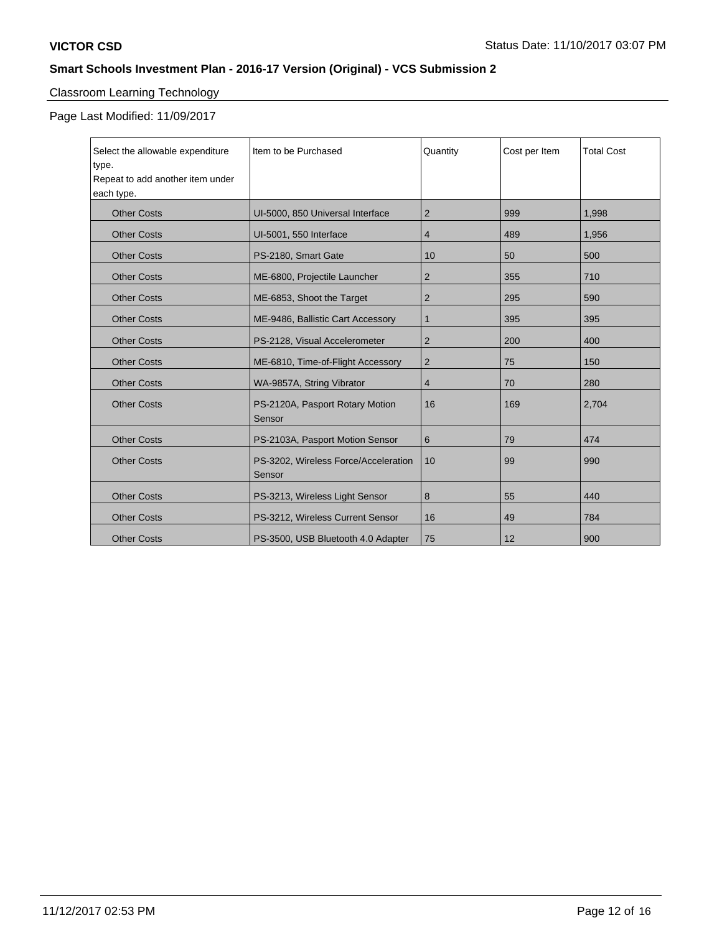# Classroom Learning Technology

Page Last Modified: 11/09/2017

| Select the allowable expenditure<br>type.<br>Repeat to add another item under | Iltem to be Purchased                          | Quantity       | Cost per Item | <b>Total Cost</b> |
|-------------------------------------------------------------------------------|------------------------------------------------|----------------|---------------|-------------------|
| each type.                                                                    |                                                |                |               |                   |
| <b>Other Costs</b>                                                            | UI-5000, 850 Universal Interface               | 2              | 999           | 1,998             |
| <b>Other Costs</b>                                                            | UI-5001, 550 Interface                         | 4              | 489           | 1,956             |
| <b>Other Costs</b>                                                            | PS-2180, Smart Gate                            | 10             | 50            | 500               |
| <b>Other Costs</b>                                                            | ME-6800, Projectile Launcher                   | 2              | 355           | 710               |
| <b>Other Costs</b>                                                            | ME-6853, Shoot the Target                      | $\overline{2}$ | 295           | 590               |
| <b>Other Costs</b>                                                            | ME-9486, Ballistic Cart Accessory              | 1              | 395           | 395               |
| <b>Other Costs</b>                                                            | PS-2128, Visual Accelerometer                  | $\overline{2}$ | 200           | 400               |
| <b>Other Costs</b>                                                            | ME-6810, Time-of-Flight Accessory              | 2              | 75            | 150               |
| <b>Other Costs</b>                                                            | WA-9857A, String Vibrator                      | 4              | 70            | 280               |
| <b>Other Costs</b>                                                            | PS-2120A, Pasport Rotary Motion<br>Sensor      | 16             | 169           | 2,704             |
| <b>Other Costs</b>                                                            | PS-2103A, Pasport Motion Sensor                | 6              | 79            | 474               |
| <b>Other Costs</b>                                                            | PS-3202, Wireless Force/Acceleration<br>Sensor | 10             | 99            | 990               |
| <b>Other Costs</b>                                                            | PS-3213, Wireless Light Sensor                 | 8              | 55            | 440               |
| <b>Other Costs</b>                                                            | PS-3212, Wireless Current Sensor               | 16             | 49            | 784               |
| <b>Other Costs</b>                                                            | PS-3500, USB Bluetooth 4.0 Adapter             | 75             | 12            | 900               |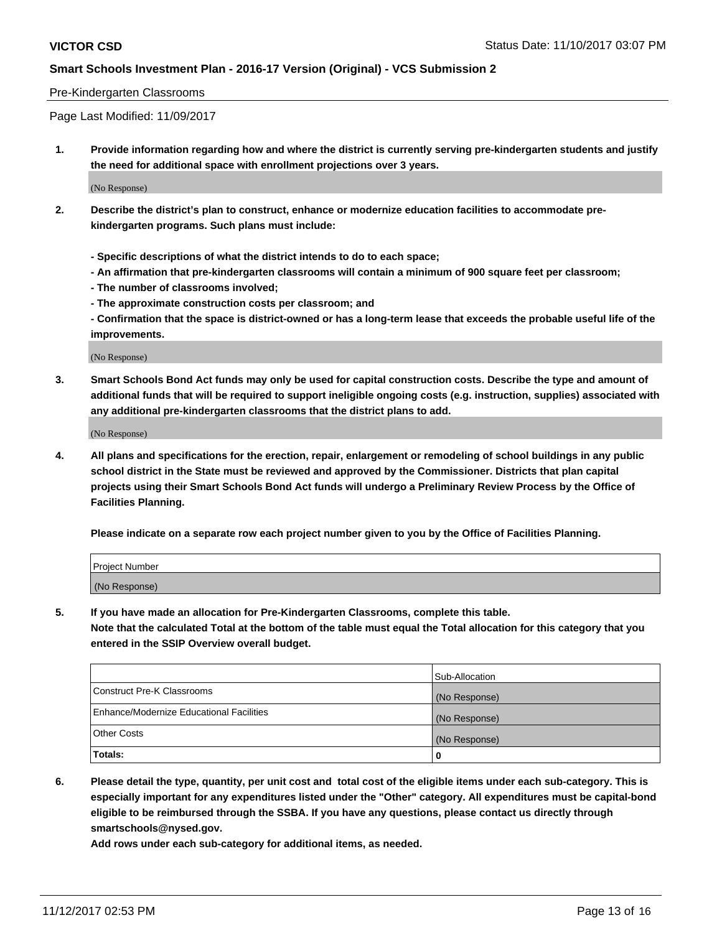#### Pre-Kindergarten Classrooms

Page Last Modified: 11/09/2017

**1. Provide information regarding how and where the district is currently serving pre-kindergarten students and justify the need for additional space with enrollment projections over 3 years.**

(No Response)

- **2. Describe the district's plan to construct, enhance or modernize education facilities to accommodate prekindergarten programs. Such plans must include:**
	- **Specific descriptions of what the district intends to do to each space;**
	- **An affirmation that pre-kindergarten classrooms will contain a minimum of 900 square feet per classroom;**
	- **The number of classrooms involved;**
	- **The approximate construction costs per classroom; and**

**- Confirmation that the space is district-owned or has a long-term lease that exceeds the probable useful life of the improvements.**

(No Response)

**3. Smart Schools Bond Act funds may only be used for capital construction costs. Describe the type and amount of additional funds that will be required to support ineligible ongoing costs (e.g. instruction, supplies) associated with any additional pre-kindergarten classrooms that the district plans to add.**

(No Response)

**4. All plans and specifications for the erection, repair, enlargement or remodeling of school buildings in any public school district in the State must be reviewed and approved by the Commissioner. Districts that plan capital projects using their Smart Schools Bond Act funds will undergo a Preliminary Review Process by the Office of Facilities Planning.**

**Please indicate on a separate row each project number given to you by the Office of Facilities Planning.**

| Project Number |  |
|----------------|--|
| (No Response)  |  |

**5. If you have made an allocation for Pre-Kindergarten Classrooms, complete this table.**

**Note that the calculated Total at the bottom of the table must equal the Total allocation for this category that you entered in the SSIP Overview overall budget.**

|                                          | Sub-Allocation |
|------------------------------------------|----------------|
| Construct Pre-K Classrooms               | (No Response)  |
| Enhance/Modernize Educational Facilities | (No Response)  |
| <b>Other Costs</b>                       | (No Response)  |
| <b>Totals:</b>                           | 0              |

**6. Please detail the type, quantity, per unit cost and total cost of the eligible items under each sub-category. This is especially important for any expenditures listed under the "Other" category. All expenditures must be capital-bond eligible to be reimbursed through the SSBA. If you have any questions, please contact us directly through smartschools@nysed.gov.**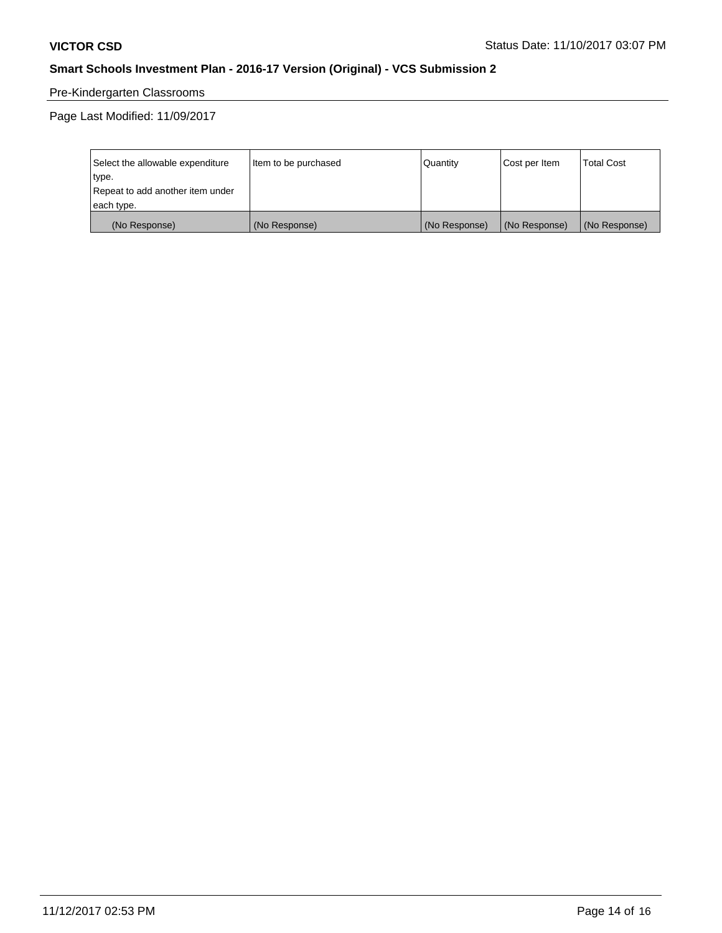# Pre-Kindergarten Classrooms

Page Last Modified: 11/09/2017

| Select the allowable expenditure | Item to be purchased | Quantity      | Cost per Item | <b>Total Cost</b> |
|----------------------------------|----------------------|---------------|---------------|-------------------|
| type.                            |                      |               |               |                   |
| Repeat to add another item under |                      |               |               |                   |
| each type.                       |                      |               |               |                   |
| (No Response)                    | (No Response)        | (No Response) | (No Response) | (No Response)     |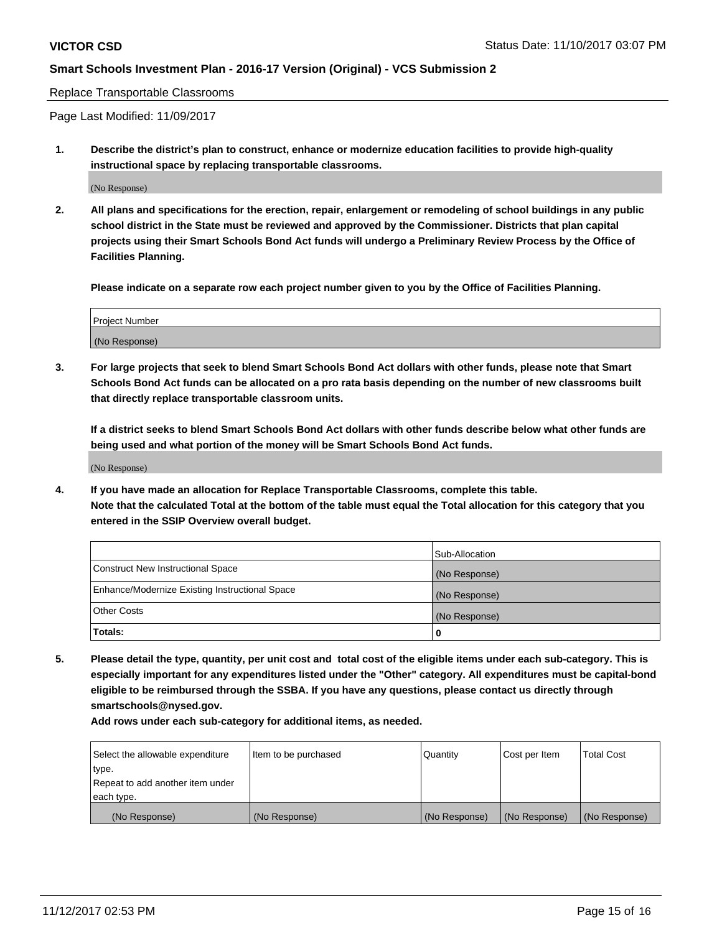#### Replace Transportable Classrooms

Page Last Modified: 11/09/2017

**1. Describe the district's plan to construct, enhance or modernize education facilities to provide high-quality instructional space by replacing transportable classrooms.**

(No Response)

**2. All plans and specifications for the erection, repair, enlargement or remodeling of school buildings in any public school district in the State must be reviewed and approved by the Commissioner. Districts that plan capital projects using their Smart Schools Bond Act funds will undergo a Preliminary Review Process by the Office of Facilities Planning.**

**Please indicate on a separate row each project number given to you by the Office of Facilities Planning.**

| <b>Project Number</b> |  |
|-----------------------|--|
| (No Response)         |  |

**3. For large projects that seek to blend Smart Schools Bond Act dollars with other funds, please note that Smart Schools Bond Act funds can be allocated on a pro rata basis depending on the number of new classrooms built that directly replace transportable classroom units.**

**If a district seeks to blend Smart Schools Bond Act dollars with other funds describe below what other funds are being used and what portion of the money will be Smart Schools Bond Act funds.**

(No Response)

**4. If you have made an allocation for Replace Transportable Classrooms, complete this table. Note that the calculated Total at the bottom of the table must equal the Total allocation for this category that you entered in the SSIP Overview overall budget.**

|                                                | Sub-Allocation |
|------------------------------------------------|----------------|
| Construct New Instructional Space              | (No Response)  |
| Enhance/Modernize Existing Instructional Space | (No Response)  |
| <b>Other Costs</b>                             | (No Response)  |
| Totals:                                        | 0              |

**5. Please detail the type, quantity, per unit cost and total cost of the eligible items under each sub-category. This is especially important for any expenditures listed under the "Other" category. All expenditures must be capital-bond eligible to be reimbursed through the SSBA. If you have any questions, please contact us directly through smartschools@nysed.gov.**

| Select the allowable expenditure<br>type.      | lltem to be purchased | Quantity      | Cost per Item | <b>Total Cost</b> |
|------------------------------------------------|-----------------------|---------------|---------------|-------------------|
| Repeat to add another item under<br>each type. |                       |               |               |                   |
| (No Response)                                  | (No Response)         | (No Response) | (No Response) | (No Response)     |